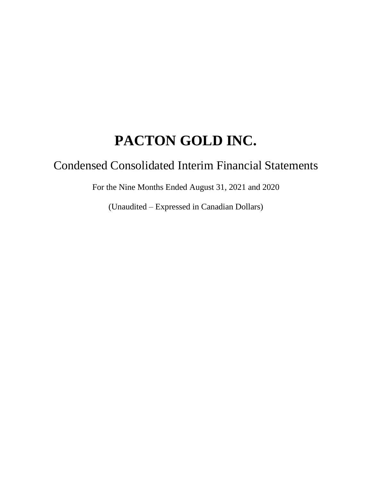# Condensed Consolidated Interim Financial Statements

For the Nine Months Ended August 31, 2021 and 2020

(Unaudited – Expressed in Canadian Dollars)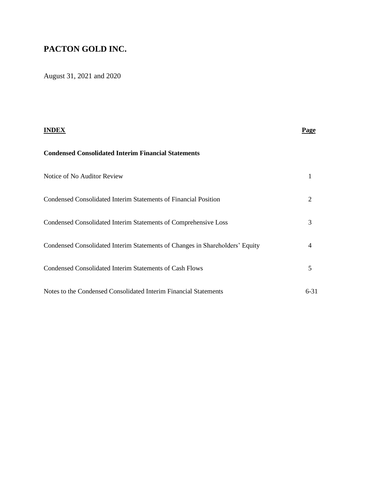August 31, 2021 and 2020

|                                                                              | <b>Page</b> |
|------------------------------------------------------------------------------|-------------|
| <b>Condensed Consolidated Interim Financial Statements</b>                   |             |
| Notice of No Auditor Review                                                  |             |
| Condensed Consolidated Interim Statements of Financial Position              | 2           |
| Condensed Consolidated Interim Statements of Comprehensive Loss              | 3           |
| Condensed Consolidated Interim Statements of Changes in Shareholders' Equity | 4           |
| Condensed Consolidated Interim Statements of Cash Flows                      | 5           |
| Notes to the Condensed Consolidated Interim Financial Statements             | $6 - 31$    |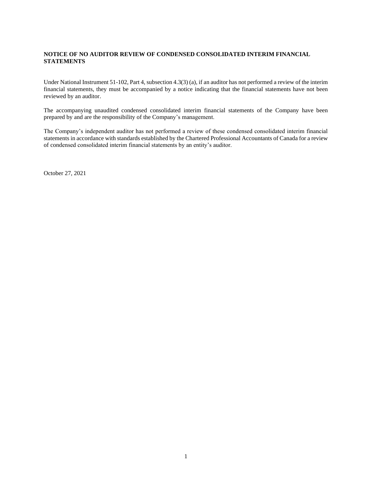#### **NOTICE OF NO AUDITOR REVIEW OF CONDENSED CONSOLIDATED INTERIM FINANCIAL STATEMENTS**

Under National Instrument 51-102, Part 4, subsection 4.3(3) (a), if an auditor has not performed a review of the interim financial statements, they must be accompanied by a notice indicating that the financial statements have not been reviewed by an auditor.

The accompanying unaudited condensed consolidated interim financial statements of the Company have been prepared by and are the responsibility of the Company's management.

The Company's independent auditor has not performed a review of these condensed consolidated interim financial statements in accordance with standards established by the Chartered Professional Accountants of Canada for a review of condensed consolidated interim financial statements by an entity's auditor.

October 27, 2021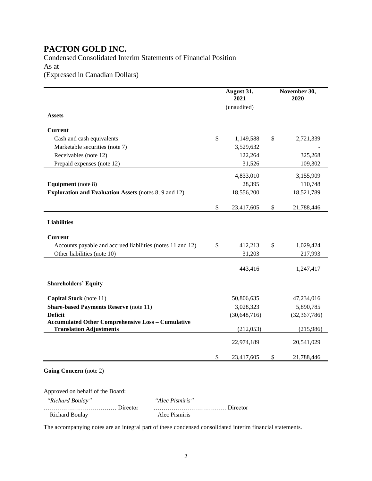### Condensed Consolidated Interim Statements of Financial Position As at (Expressed in Canadian Dollars)

|                                                              | August 31,<br>2021 | November 30,<br>2020 |
|--------------------------------------------------------------|--------------------|----------------------|
|                                                              | (unaudited)        |                      |
| <b>Assets</b>                                                |                    |                      |
| <b>Current</b>                                               |                    |                      |
| Cash and cash equivalents                                    | \$<br>1,149,588    | \$<br>2,721,339      |
| Marketable securities (note 7)                               | 3,529,632          |                      |
| Receivables (note 12)                                        | 122,264            | 325,268              |
| Prepaid expenses (note 12)                                   | 31,526             | 109,302              |
|                                                              | 4,833,010          | 3,155,909            |
| <b>Equipment</b> (note 8)                                    | 28,395             | 110,748              |
| <b>Exploration and Evaluation Assets (notes 8, 9 and 12)</b> | 18,556,200         | 18,521,789           |
|                                                              | \$<br>23,417,605   | \$<br>21,788,446     |
| <b>Liabilities</b>                                           |                    |                      |
|                                                              |                    |                      |
| <b>Current</b>                                               |                    |                      |
| Accounts payable and accrued liabilities (notes 11 and 12)   | \$<br>412,213      | \$<br>1,029,424      |
| Other liabilities (note 10)                                  | 31,203             | 217,993              |
|                                                              | 443,416            | 1,247,417            |
| <b>Shareholders' Equity</b>                                  |                    |                      |
|                                                              |                    |                      |
| Capital Stock (note 11)                                      | 50,806,635         | 47,234,016           |
| <b>Share-based Payments Reserve (note 11)</b>                | 3,028,323          | 5,890,785            |
| <b>Deficit</b>                                               | (30, 648, 716)     | (32, 367, 786)       |
| <b>Accumulated Other Comprehensive Loss - Cumulative</b>     |                    |                      |
| <b>Translation Adjustments</b>                               | (212,053)          | (215,986)            |
|                                                              | 22,974,189         | 20,541,029           |
|                                                              | \$<br>23,417,605   | \$<br>21,788,446     |

**Going Concern** (note 2)

Approved on behalf of the Board:

 *"Richard Boulay" "Alec Pismiris"* ……………………………… Director ……………………………… Director Richard Boulay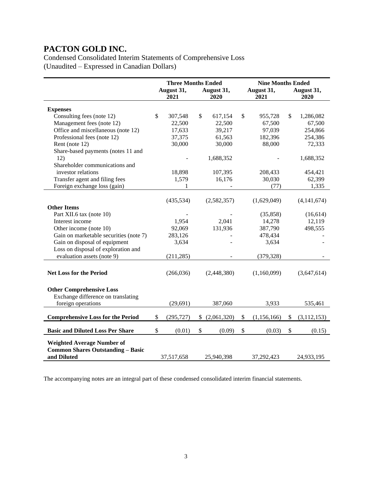Condensed Consolidated Interim Statements of Comprehensive Loss (Unaudited – Expressed in Canadian Dollars)

|                                          | <b>Three Months Ended</b> |                    |    |                    |                    | <b>Nine Months Ended</b> |                    |               |  |
|------------------------------------------|---------------------------|--------------------|----|--------------------|--------------------|--------------------------|--------------------|---------------|--|
|                                          |                           | August 31,<br>2021 |    | August 31,<br>2020 | August 31,<br>2021 |                          | August 31,<br>2020 |               |  |
|                                          |                           |                    |    |                    |                    |                          |                    |               |  |
| <b>Expenses</b>                          |                           |                    |    |                    |                    |                          |                    |               |  |
| Consulting fees (note 12)                | \$                        | 307,548            | \$ | 617,154            | \$                 | 955,728                  | \$                 | 1,286,082     |  |
| Management fees (note 12)                |                           | 22,500             |    | 22,500             |                    | 67,500                   |                    | 67,500        |  |
| Office and miscellaneous (note 12)       |                           | 17,633             |    | 39,217             |                    | 97,039                   |                    | 254,866       |  |
| Professional fees (note 12)              |                           | 37,375             |    | 61,563             |                    | 182,396                  |                    | 254,386       |  |
| Rent (note 12)                           |                           | 30,000             |    | 30,000             |                    | 88,000                   |                    | 72,333        |  |
| Share-based payments (notes 11 and       |                           |                    |    |                    |                    |                          |                    |               |  |
| 12)                                      |                           |                    |    | 1,688,352          |                    |                          |                    | 1,688,352     |  |
| Shareholder communications and           |                           |                    |    |                    |                    |                          |                    |               |  |
| investor relations                       |                           | 18,898             |    | 107,395            |                    | 208,433                  |                    | 454,421       |  |
| Transfer agent and filing fees           |                           | 1,579              |    | 16,176             |                    | 30,030                   |                    | 62,399        |  |
| Foreign exchange loss (gain)             |                           | 1                  |    |                    |                    | (77)                     |                    | 1,335         |  |
|                                          |                           |                    |    |                    |                    |                          |                    |               |  |
|                                          |                           | (435, 534)         |    | (2,582,357)        |                    | (1,629,049)              |                    | (4, 141, 674) |  |
| <b>Other Items</b>                       |                           |                    |    |                    |                    |                          |                    |               |  |
| Part XII.6 tax (note 10)                 |                           |                    |    |                    |                    | (35, 858)                |                    | (16,614)      |  |
| Interest income                          |                           | 1,954              |    | 2,041              |                    | 14,278                   |                    | 12,119        |  |
| Other income (note 10)                   |                           | 92,069             |    | 131,936            |                    | 387,790                  |                    | 498,555       |  |
| Gain on marketable securities (note 7)   |                           | 283,126            |    |                    |                    | 478,434                  |                    |               |  |
| Gain on disposal of equipment            |                           | 3,634              |    |                    |                    | 3,634                    |                    |               |  |
| Loss on disposal of exploration and      |                           |                    |    |                    |                    |                          |                    |               |  |
| evaluation assets (note 9)               |                           | (211, 285)         |    |                    |                    | (379, 328)               |                    |               |  |
|                                          |                           |                    |    |                    |                    |                          |                    |               |  |
|                                          |                           |                    |    |                    |                    |                          |                    |               |  |
| <b>Net Loss for the Period</b>           |                           | (266, 036)         |    | (2,448,380)        |                    | (1,160,099)              |                    | (3,647,614)   |  |
|                                          |                           |                    |    |                    |                    |                          |                    |               |  |
| <b>Other Comprehensive Loss</b>          |                           |                    |    |                    |                    |                          |                    |               |  |
| Exchange difference on translating       |                           |                    |    |                    |                    |                          |                    |               |  |
| foreign operations                       |                           | (29, 691)          |    | 387,060            |                    | 3,933                    |                    | 535,461       |  |
|                                          |                           |                    |    |                    |                    |                          |                    |               |  |
| <b>Comprehensive Loss for the Period</b> | \$                        | (295, 727)         | \$ | (2,061,320)        | \$                 | (1,156,166)              | \$                 | (3, 112, 153) |  |
| <b>Basic and Diluted Loss Per Share</b>  | $\mathsf{\$}$             | (0.01)             | \$ | (0.09)             | \$                 | (0.03)                   | \$                 | (0.15)        |  |
|                                          |                           |                    |    |                    |                    |                          |                    |               |  |
| <b>Weighted Average Number of</b>        |                           |                    |    |                    |                    |                          |                    |               |  |
| <b>Common Shares Outstanding - Basic</b> |                           |                    |    |                    |                    |                          |                    |               |  |
| and Diluted                              |                           | 37,517,658         |    | 25,940,398         |                    | 37,292,423               |                    | 24,933,195    |  |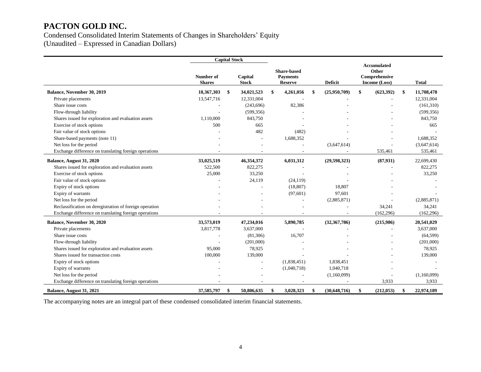#### Condensed Consolidated Interim Statements of Changes in Shareholders' Equity (Unaudited – Expressed in Canadian Dollars)

**Capital Stock Number of Shares Capital Stock Share-based Payments Reserve Deficit Accumulated Other Comprehensive Income (Loss) Total Balance, November 30, 2019 18,367,303 \$ 34,021,523 \$ 4,261,056 \$ (25,950,709) \$ (623,392) \$ 11,708,478** Private placements 13,547,716 12,331,004 - - - - - - - - - - - - - - 12,331,004 Share issue costs (161,310) (243,696) 82,386 - (161,310) Flow-through liability - (599,356) - - - (599,356) Shares issued for exploration and evaluation assets 1,110,000 843,750 - - - - - - - 843,750 - - - - - 843,750 Exercise of stock options 500 665 - - - 665 Fair value of stock options 482 (482) Share-based payments (note 11) 1,688,352 - 1,688,352 - 1,688,352 - 1,688,352 Net loss for the period (3,647,614) (3,647,614) (3,647,614) (3,647,614) Exchange difference on translating foreign operations and the state of the state of the state of the state of the state of the state of the state of the state of the state of the state of the state of the state of the stat **Balance, August 31, 2020 33,025,519 46,354,372 6,031,312 (29,598,323) (87,931)** 22,699,430 Shares issued for exploration and evaluation assets 522,500 822,275 - - - - - - - - - - - - - - - - 822,275 822,275 Exercise of stock options 25,000 33,250 - - - - - - - - - - - - 33,250 Fair value of stock options  $24,119$   $(24,119)$   $-$ Expiry of stock options and the state of the state of the state of the state of the state of the state of the state of the state of the state of the state of the state of the state of the state of the state of the state of Expiry of warrants  $(97,601)$  97,601 -  $(97,601)$  97,601 Net loss for the period (2,885,871) (2,885,871) (2,885,871) (2,885,871) Reclassification on deregistration of foreign operation and the state of the state of the state of the state of the state of the state of the state of the state of the state of the state of the state of the state of the st Exchange difference on translating foreign operations and the contract of the contract of the contract of the contract of the contract of the contract of the contract of the contract of the contract of the contract of the **Balance, November 30, 2020 33,573,019 47,234,016 5,890,785 (32,367,786) (215,986) 20,541,029** Private placements and the state of the state of 3,817,778 3,637,000 and the state of the state of the state of the state of 3,637,000  $\sim$  3,637,000 Share issue costs (64,599)  $(81,306)$   $16,707$  -  $(64,599)$ Flow-through liability (201,000) (201,000) - (201,000) (201,000) Shares issued for exploration and evaluation assets 95,000 78,925 - - - - - - - - - 78,925 78,925 Shares issued for transaction costs **100,000** 139,000 139,000 - - - - - - 139,000 - 139,000 Expiry of stock options 1,838,451 1,838,451 1,838,451 1,838,451 Expiry of warrants **Expiry of warrants** and the contract of the contract of the contract of the contract of the contract of the contract of the contract of the contract of the contract of the contract of the contract of th Net loss for the period (1,160,099) (1,160,099) (1,160,099) (1,160,099) Exchange difference on translating foreign operations and the state of the state of the state of the state of the state of the state of the state of the state of the state of the state of the state of the state of the stat **Balance, August 31, 2021 37,585,797 \$ 50,806,635 \$ 3,028,323 \$ (30,648,716) \$ (212,053) \$ 22,974,189**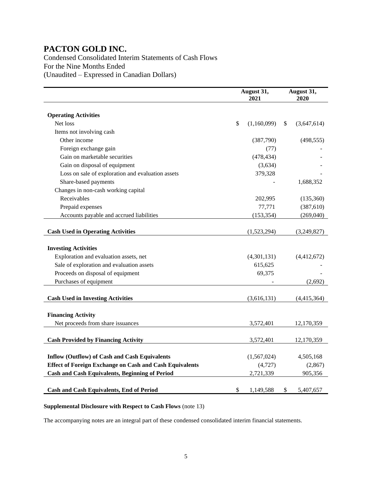Condensed Consolidated Interim Statements of Cash Flows For the Nine Months Ended (Unaudited – Expressed in Canadian Dollars)

|                                                                | August 31,<br>2021 | August 31,<br>2020 |
|----------------------------------------------------------------|--------------------|--------------------|
|                                                                |                    |                    |
| <b>Operating Activities</b>                                    |                    |                    |
| Net loss                                                       | \$<br>(1,160,099)  | \$<br>(3,647,614)  |
| Items not involving cash                                       |                    |                    |
| Other income                                                   | (387,790)          | (498, 555)         |
| Foreign exchange gain                                          | (77)               |                    |
| Gain on marketable securities                                  | (478, 434)         |                    |
| Gain on disposal of equipment                                  | (3,634)            |                    |
| Loss on sale of exploration and evaluation assets              | 379,328            |                    |
| Share-based payments                                           |                    | 1,688,352          |
| Changes in non-cash working capital                            |                    |                    |
| Receivables                                                    | 202,995            | (135,360)          |
| Prepaid expenses                                               | 77,771             | (387,610)          |
| Accounts payable and accrued liabilities                       | (153, 354)         | (269,040)          |
|                                                                |                    |                    |
| <b>Cash Used in Operating Activities</b>                       | (1,523,294)        | (3,249,827)        |
|                                                                |                    |                    |
| <b>Investing Activities</b>                                    |                    |                    |
| Exploration and evaluation assets, net                         | (4,301,131)        | (4,412,672)        |
| Sale of exploration and evaluation assets                      | 615,625            |                    |
| Proceeds on disposal of equipment                              | 69,375             |                    |
| Purchases of equipment                                         |                    | (2,692)            |
|                                                                |                    |                    |
| <b>Cash Used in Investing Activities</b>                       | (3,616,131)        | (4,415,364)        |
|                                                                |                    |                    |
| <b>Financing Activity</b>                                      |                    |                    |
| Net proceeds from share issuances                              | 3,572,401          | 12,170,359         |
|                                                                |                    |                    |
| <b>Cash Provided by Financing Activity</b>                     | 3,572,401          | 12,170,359         |
|                                                                |                    |                    |
| <b>Inflow (Outflow) of Cash and Cash Equivalents</b>           | (1,567,024)        | 4,505,168          |
| <b>Effect of Foreign Exchange on Cash and Cash Equivalents</b> | (4,727)            | (2, 867)           |
| <b>Cash and Cash Equivalents, Beginning of Period</b>          | 2,721,339          | 905,356            |
|                                                                |                    |                    |
| <b>Cash and Cash Equivalents, End of Period</b>                | \$<br>1,149,588    | \$<br>5,407,657    |

#### **Supplemental Disclosure with Respect to Cash Flows** (note 13)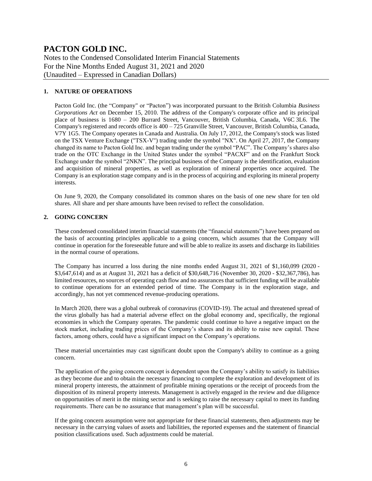Notes to the Condensed Consolidated Interim Financial Statements For the Nine Months Ended August 31, 2021 and 2020 (Unaudited – Expressed in Canadian Dollars)

#### **1. NATURE OF OPERATIONS**

Pacton Gold Inc. (the "Company" or "Pacton") was incorporated pursuant to the British Columbia *Business Corporations Act* on December 15, 2010. The address of the Company's corporate office and its principal place of business is 1680 – 200 Burrard Street, Vancouver, British Columbia, Canada, V6C 3L6. The Company's registered and records office is  $400 - 725$  Granville Street, Vancouver, British Columbia, Canada, V7Y 1G5. The Company operates in Canada and Australia. On July 17, 2012, the Company's stock was listed on the TSX Venture Exchange ("TSX-V") trading under the symbol "NX". On April 27, 2017, the Company changed its name to Pacton Gold Inc. and began trading under the symbol "PAC". The Company's shares also trade on the OTC Exchange in the United States under the symbol "PACXF" and on the Frankfurt Stock Exchange under the symbol "2NKN". The principal business of the Company is the identification, evaluation and acquisition of mineral properties, as well as exploration of mineral properties once acquired. The Company is an exploration stage company and is in the process of acquiring and exploring its mineral property interests.

On June 9, 2020, the Company consolidated its common shares on the basis of one new share for ten old shares. All share and per share amounts have been revised to reflect the consolidation.

#### **2. GOING CONCERN**

These condensed consolidated interim financial statements (the "financial statements") have been prepared on the basis of accounting principles applicable to a going concern, which assumes that the Company will continue in operation for the foreseeable future and will be able to realize its assets and discharge its liabilities in the normal course of operations.

The Company has incurred a loss during the nine months ended August 31, 2021 of \$1,160,099 (2020 - \$3,647,614) and as at August 31, 2021 has a deficit of \$30,648,716 (November 30, 2020 - \$32,367,786), has limited resources, no sources of operating cash flow and no assurances that sufficient funding will be available to continue operations for an extended period of time. The Company is in the exploration stage, and accordingly, has not yet commenced revenue-producing operations.

In March 2020, there was a global outbreak of coronavirus (COVID-19). The actual and threatened spread of the virus globally has had a material adverse effect on the global economy and, specifically, the regional economies in which the Company operates. The pandemic could continue to have a negative impact on the stock market, including trading prices of the Company's shares and its ability to raise new capital. These factors, among others, could have a significant impact on the Company's operations.

These material uncertainties may cast significant doubt upon the Company's ability to continue as a going concern.

The application of the going concern concept is dependent upon the Company's ability to satisfy its liabilities as they become due and to obtain the necessary financing to complete the exploration and development of its mineral property interests, the attainment of profitable mining operations or the receipt of proceeds from the disposition of its mineral property interests. Management is actively engaged in the review and due diligence on opportunities of merit in the mining sector and is seeking to raise the necessary capital to meet its funding requirements. There can be no assurance that management's plan will be successful.

If the going concern assumption were not appropriate for these financial statements, then adjustments may be necessary in the carrying values of assets and liabilities, the reported expenses and the statement of financial position classifications used. Such adjustments could be material.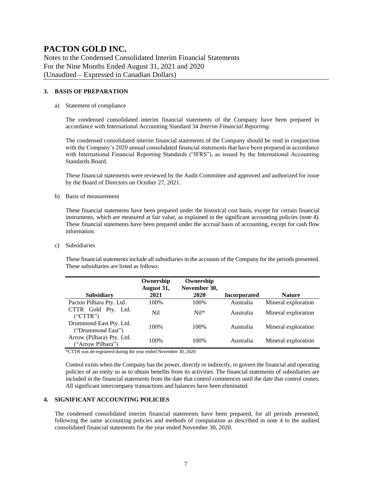Notes to the Condensed Consolidated Interim Financial Statements For the Nine Months Ended August 31, 2021 and 2020 (Unaudited – Expressed in Canadian Dollars)

#### **3. BASIS OF PREPARATION**

#### a) Statement of compliance

The condensed consolidated interim financial statements of the Company have been prepared in accordance with International Accounting Standard 34 *Interim Financial Reporting*.

The condensed consolidated interim financial statements of the Company should be read in conjunction with the Company's 2020 annual consolidated financial statements that have been prepared in accordance with International Financial Reporting Standards ("IFRS"), as issued by the International Accounting Standards Board.

These financial statements were reviewed by the Audit Committee and approved and authorized for issue by the Board of Directors on October 27, 2021.

b) Basis of measurement

These financial statements have been prepared under the historical cost basis, except for certain financial instruments, which are measured at fair value, as explained in the significant accounting policies (note 4). These financial statements have been prepared under the accrual basis of accounting, except for cash flow information.

c) Subsidiaries

These financial statements include all subsidiaries in the accounts of the Company for the periods presented. These subsidiaries are listed as follows:

| <b>Subsidiary</b>         | Ownership<br>August 31,<br>2021 | Ownership<br>November 30,<br>2020 | <b>Incorporated</b> | <b>Nature</b>       |
|---------------------------|---------------------------------|-----------------------------------|---------------------|---------------------|
| Pacton Pilbara Pty. Ltd.  | 100\%                           | 100\%                             | Australia           | Mineral exploration |
|                           |                                 |                                   |                     |                     |
| CTTR Gold Pty. Ltd.       | N <sub>il</sub>                 | $Nil*$                            | Australia           | Mineral exploration |
| ("CTTR")                  |                                 |                                   |                     |                     |
| Drummond East Pty. Ltd.   |                                 |                                   |                     |                     |
| ("Drummond East")         | 100%                            | 100\%                             | Australia           | Mineral exploration |
| Arrow (Pilbara) Pty. Ltd. |                                 |                                   |                     |                     |
|                           | 100%                            | 100\%                             | Australia           | Mineral exploration |
| ("Arrow Pilbara")         |                                 |                                   |                     |                     |

\*CTTR was de-registered during the year ended November 30, 2020

Control exists when the Company has the power, directly or indirectly, to govern the financial and operating policies of an entity so as to obtain benefits from its activities. The financial statements of subsidiaries are included in the financial statements from the date that control commences until the date that control ceases. All significant intercompany transactions and balances have been eliminated.

#### **4. SIGNIFICANT ACCOUNTING POLICIES**

The condensed consolidated interim financial statements have been prepared, for all periods presented, following the same accounting policies and methods of computation as described in note 4 to the audited consolidated financial statements for the year ended November 30, 2020.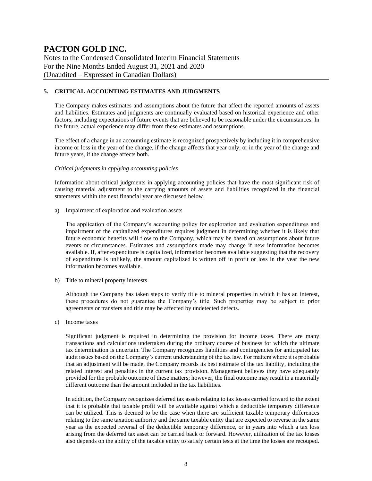Notes to the Condensed Consolidated Interim Financial Statements For the Nine Months Ended August 31, 2021 and 2020 (Unaudited – Expressed in Canadian Dollars)

#### **5. CRITICAL ACCOUNTING ESTIMATES AND JUDGMENTS**

The Company makes estimates and assumptions about the future that affect the reported amounts of assets and liabilities. Estimates and judgments are continually evaluated based on historical experience and other factors, including expectations of future events that are believed to be reasonable under the circumstances. In the future, actual experience may differ from these estimates and assumptions.

The effect of a change in an accounting estimate is recognized prospectively by including it in comprehensive income or loss in the year of the change, if the change affects that year only, or in the year of the change and future years, if the change affects both.

#### *Critical judgments in applying accounting policies*

Information about critical judgments in applying accounting policies that have the most significant risk of causing material adjustment to the carrying amounts of assets and liabilities recognized in the financial statements within the next financial year are discussed below.

a) Impairment of exploration and evaluation assets

The application of the Company's accounting policy for exploration and evaluation expenditures and impairment of the capitalized expenditures requires judgment in determining whether it is likely that future economic benefits will flow to the Company, which may be based on assumptions about future events or circumstances. Estimates and assumptions made may change if new information becomes available. If, after expenditure is capitalized, information becomes available suggesting that the recovery of expenditure is unlikely, the amount capitalized is written off in profit or loss in the year the new information becomes available.

b) Title to mineral property interests

Although the Company has taken steps to verify title to mineral properties in which it has an interest, these procedures do not guarantee the Company's title. Such properties may be subject to prior agreements or transfers and title may be affected by undetected defects.

c) Income taxes

Significant judgment is required in determining the provision for income taxes. There are many transactions and calculations undertaken during the ordinary course of business for which the ultimate tax determination is uncertain. The Company recognizes liabilities and contingencies for anticipated tax audit issues based on the Company's current understanding of the tax law. For matters where it is probable that an adjustment will be made, the Company records its best estimate of the tax liability, including the related interest and penalties in the current tax provision. Management believes they have adequately provided for the probable outcome of these matters; however, the final outcome may result in a materially different outcome than the amount included in the tax liabilities.

In addition, the Company recognizes deferred tax assets relating to tax losses carried forward to the extent that it is probable that taxable profit will be available against which a deductible temporary difference can be utilized. This is deemed to be the case when there are sufficient taxable temporary differences relating to the same taxation authority and the same taxable entity that are expected to reverse in the same year as the expected reversal of the deductible temporary difference, or in years into which a tax loss arising from the deferred tax asset can be carried back or forward. However, utilization of the tax losses also depends on the ability of the taxable entity to satisfy certain tests at the time the losses are recouped.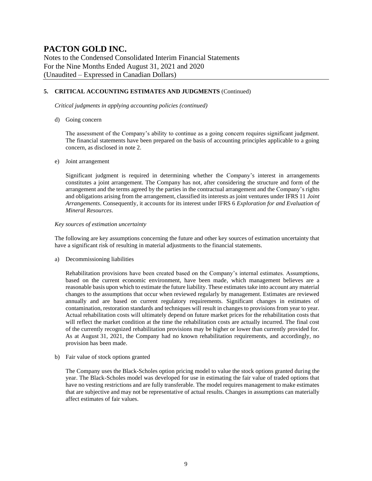Notes to the Condensed Consolidated Interim Financial Statements For the Nine Months Ended August 31, 2021 and 2020 (Unaudited – Expressed in Canadian Dollars)

#### **5. CRITICAL ACCOUNTING ESTIMATES AND JUDGMENTS** (Continued)

*Critical judgments in applying accounting policies (continued)*

d) Going concern

The assessment of the Company's ability to continue as a going concern requires significant judgment. The financial statements have been prepared on the basis of accounting principles applicable to a going concern, as disclosed in note 2.

#### e) Joint arrangement

Significant judgment is required in determining whether the Company's interest in arrangements constitutes a joint arrangement. The Company has not, after considering the structure and form of the arrangement and the terms agreed by the parties in the contractual arrangement and the Company's rights and obligations arising from the arrangement, classified its interests as joint ventures under IFRS 11 *Joint Arrangements*. Consequently, it accounts for its interest under IFRS 6 *Exploration for and Evaluation of Mineral Resources*.

#### *Key sources of estimation uncertainty*

The following are key assumptions concerning the future and other key sources of estimation uncertainty that have a significant risk of resulting in material adjustments to the financial statements.

a) Decommissioning liabilities

Rehabilitation provisions have been created based on the Company's internal estimates. Assumptions, based on the current economic environment, have been made, which management believes are a reasonable basis upon which to estimate the future liability. These estimates take into account any material changes to the assumptions that occur when reviewed regularly by management. Estimates are reviewed annually and are based on current regulatory requirements. Significant changes in estimates of contamination, restoration standards and techniques will result in changes to provisions from year to year. Actual rehabilitation costs will ultimately depend on future market prices for the rehabilitation costs that will reflect the market condition at the time the rehabilitation costs are actually incurred. The final cost of the currently recognized rehabilitation provisions may be higher or lower than currently provided for. As at August 31, 2021, the Company had no known rehabilitation requirements, and accordingly, no provision has been made.

b) Fair value of stock options granted

The Company uses the Black-Scholes option pricing model to value the stock options granted during the year. The Black-Scholes model was developed for use in estimating the fair value of traded options that have no vesting restrictions and are fully transferable. The model requires management to make estimates that are subjective and may not be representative of actual results. Changes in assumptions can materially affect estimates of fair values.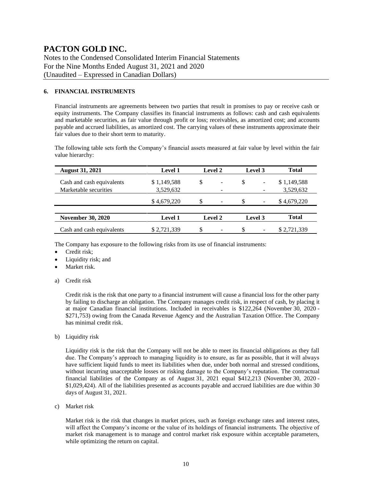Notes to the Condensed Consolidated Interim Financial Statements For the Nine Months Ended August 31, 2021 and 2020 (Unaudited – Expressed in Canadian Dollars)

#### **6. FINANCIAL INSTRUMENTS**

Financial instruments are agreements between two parties that result in promises to pay or receive cash or equity instruments. The Company classifies its financial instruments as follows: cash and cash equivalents and marketable securities, as fair value through profit or loss; receivables, as amortized cost; and accounts payable and accrued liabilities, as amortized cost. The carrying values of these instruments approximate their fair values due to their short term to maturity.

The following table sets forth the Company's financial assets measured at fair value by level within the fair value hierarchy:

| <b>August 31, 2021</b>    | <b>Level 1</b> |    | <b>Level 2</b>           | Level 3 |                          | <b>Total</b> |
|---------------------------|----------------|----|--------------------------|---------|--------------------------|--------------|
| Cash and cash equivalents | \$1,149,588    | \$ | $\overline{\phantom{a}}$ | \$      | -                        | \$1,149,588  |
| Marketable securities     | 3,529,632      |    | -                        |         |                          | 3,529,632    |
|                           | \$4,679,220    | S  | $\overline{\phantom{a}}$ | \$.     | ۰                        | \$4,679,220  |
|                           |                |    |                          |         |                          |              |
| <b>November 30, 2020</b>  | <b>Level 1</b> |    | <b>Level 2</b>           |         | Level 3                  | <b>Total</b> |
| Cash and cash equivalents | \$2,721,339    | S  | $\overline{\phantom{0}}$ | \$.     | $\overline{\phantom{a}}$ | \$2,721,339  |

The Company has exposure to the following risks from its use of financial instruments:

- Credit risk;
- Liquidity risk; and
- Market risk.
- a) Credit risk

Credit risk is the risk that one party to a financial instrument will cause a financial loss for the other party by failing to discharge an obligation. The Company manages credit risk, in respect of cash, by placing it at major Canadian financial institutions. Included in receivables is \$122,264 (November 30, 2020 - \$271,753) owing from the Canada Revenue Agency and the Australian Taxation Office. The Company has minimal credit risk.

b) Liquidity risk

Liquidity risk is the risk that the Company will not be able to meet its financial obligations as they fall due. The Company's approach to managing liquidity is to ensure, as far as possible, that it will always have sufficient liquid funds to meet its liabilities when due, under both normal and stressed conditions, without incurring unacceptable losses or risking damage to the Company's reputation. The contractual financial liabilities of the Company as of August 31, 2021 equal \$412,213 (November 30, 2020 - \$1,029,424). All of the liabilities presented as accounts payable and accrued liabilities are due within 30 days of August 31, 2021.

c) Market risk

Market risk is the risk that changes in market prices, such as foreign exchange rates and interest rates, will affect the Company's income or the value of its holdings of financial instruments. The objective of market risk management is to manage and control market risk exposure within acceptable parameters, while optimizing the return on capital.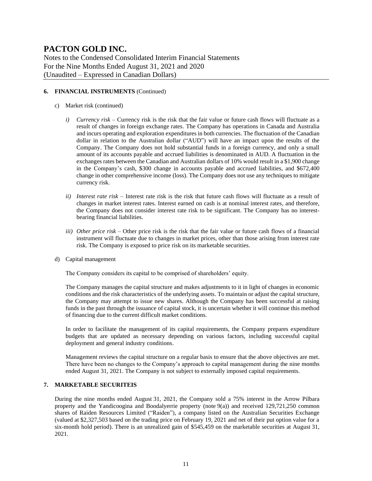Notes to the Condensed Consolidated Interim Financial Statements For the Nine Months Ended August 31, 2021 and 2020 (Unaudited – Expressed in Canadian Dollars)

#### **6. FINANCIAL INSTRUMENTS** (Continued)

- c) Market risk (continued)
	- *i) Currency risk –* Currency risk is the risk that the fair value or future cash flows will fluctuate as a result of changes in foreign exchange rates. The Company has operations in Canada and Australia and incurs operating and exploration expenditures in both currencies. The fluctuation of the Canadian dollar in relation to the Australian dollar ("AUD") will have an impact upon the results of the Company. The Company does not hold substantial funds in a foreign currency, and only a small amount of its accounts payable and accrued liabilities is denominated in AUD. A fluctuation in the exchanges rates between the Canadian and Australian dollars of 10% would result in a \$1,900 change in the Company's cash, \$300 change in accounts payable and accrued liabilities, and \$672,400 change in other comprehensive income (loss). The Company does not use any techniques to mitigate currency risk.
	- *ii) Interest rate risk –* Interest rate risk is the risk that future cash flows will fluctuate as a result of changes in market interest rates. Interest earned on cash is at nominal interest rates, and therefore, the Company does not consider interest rate risk to be significant. The Company has no interestbearing financial liabilities.
	- *iii) Other price risk –* Other price risk is the risk that the fair value or future cash flows of a financial instrument will fluctuate due to changes in market prices, other than those arising from interest rate risk. The Company is exposed to price risk on its marketable securities.
- d) Capital management

The Company considers its capital to be comprised of shareholders' equity.

The Company manages the capital structure and makes adjustments to it in light of changes in economic conditions and the risk characteristics of the underlying assets. To maintain or adjust the capital structure, the Company may attempt to issue new shares. Although the Company has been successful at raising funds in the past through the issuance of capital stock, it is uncertain whether it will continue this method of financing due to the current difficult market conditions.

In order to facilitate the management of its capital requirements, the Company prepares expenditure budgets that are updated as necessary depending on various factors, including successful capital deployment and general industry conditions.

Management reviews the capital structure on a regular basis to ensure that the above objectives are met. There have been no changes to the Company's approach to capital management during the nine months ended August 31, 2021. The Company is not subject to externally imposed capital requirements.

#### **7. MARKETABLE SECURITEIS**

During the nine months ended August 31, 2021, the Company sold a 75% interest in the Arrow Pilbara property and the Yandicoogina and Boodalyerrie property (note 9(a)) and received 129,721,250 common shares of Raiden Resources Limited ("Raiden"), a company listed on the Australian Securities Exchange (valued at \$2,327,503 based on the trading price on February 19, 2021 and net of their put option value for a six-month hold period). There is an unrealized gain of \$545,459 on the marketable securities at August 31, 2021.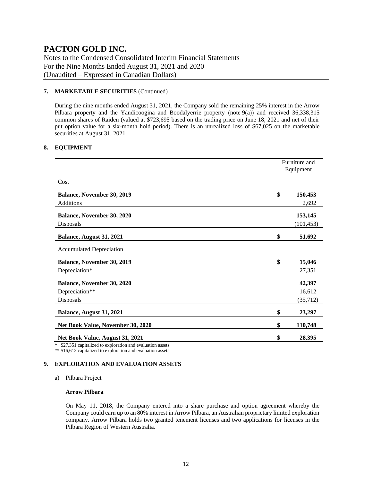Notes to the Condensed Consolidated Interim Financial Statements For the Nine Months Ended August 31, 2021 and 2020 (Unaudited – Expressed in Canadian Dollars)

#### **7. MARKETABLE SECURITIES** (Continued)

During the nine months ended August 31, 2021, the Company sold the remaining 25% interest in the Arrow Pilbara property and the Yandicoogina and Boodalyerrie property (note 9(a)) and received 36,338,315 common shares of Raiden (valued at \$723,695 based on the trading price on June 18, 2021 and net of their put option value for a six-month hold period). There is an unrealized loss of \$67,025 on the marketable securities at August 31, 2021.

#### **8. EQUIPMENT**

|                                   | Furniture and<br>Equipment |            |  |  |
|-----------------------------------|----------------------------|------------|--|--|
| Cost                              |                            |            |  |  |
| <b>Balance, November 30, 2019</b> | \$                         | 150,453    |  |  |
| Additions                         |                            | 2,692      |  |  |
| Balance, November 30, 2020        |                            | 153,145    |  |  |
| Disposals                         |                            | (101, 453) |  |  |
| Balance, August 31, 2021          | \$                         | 51,692     |  |  |
| <b>Accumulated Depreciation</b>   |                            |            |  |  |
| <b>Balance, November 30, 2019</b> | \$                         | 15,046     |  |  |
| Depreciation*                     |                            | 27,351     |  |  |
| <b>Balance, November 30, 2020</b> |                            | 42,397     |  |  |
| Depreciation**                    |                            | 16,612     |  |  |
| Disposals                         |                            | (35, 712)  |  |  |
| Balance, August 31, 2021          | \$                         | 23,297     |  |  |
| Net Book Value, November 30, 2020 | \$                         | 110,748    |  |  |
| Net Book Value, August 31, 2021   | \$                         | 28,395     |  |  |

\* \$27,351 capitalized to exploration and evaluation assets

\*\* \$16,612 capitalized to exploration and evaluation assets

#### **9. EXPLORATION AND EVALUATION ASSETS**

a) Pilbara Project

#### **Arrow Pilbara**

On May 11, 2018, the Company entered into a share purchase and option agreement whereby the Company could earn up to an 80% interest in Arrow Pilbara, an Australian proprietary limited exploration company. Arrow Pilbara holds two granted tenement licenses and two applications for licenses in the Pilbara Region of Western Australia.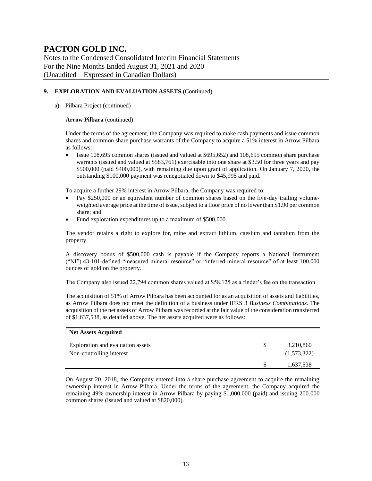Notes to the Condensed Consolidated Interim Financial Statements For the Nine Months Ended August 31, 2021 and 2020 (Unaudited – Expressed in Canadian Dollars)

#### **9. EXPLORATION AND EVALUATION ASSETS** (Continued)

#### a) Pilbara Project (continued)

#### **Arrow Pilbara** (continued)

Under the terms of the agreement, the Company was required to make cash payments and issue common shares and common share purchase warrants of the Company to acquire a 51% interest in Arrow Pilbara as follows:

• Issue 108,695 common shares (issued and valued at \$695,652) and 108,695 common share purchase warrants (issued and valued at \$583,761) exercisable into one share at \$3.50 for three years and pay \$500,000 (paid \$400,000), with remaining due upon grant of application. On January 7, 2020, the outstanding \$100,000 payment was renegotiated down to \$45,995 and paid.

To acquire a further 29% interest in Arrow Pilbara, the Company was required to:

- Pay \$250,000 or an equivalent number of common shares based on the five-day trailing volumeweighted average price at the time of issue, subject to a floor price of no lower than \$1.90 per common share; and
- Fund exploration expenditures up to a maximum of \$500,000.

The vendor retains a right to explore for, mine and extract lithium, caesium and tantalum from the property.

A discovery bonus of \$500,000 cash is payable if the Company reports a National Instrument ("NI") 43-101-defined "measured mineral resource" or "inferred mineral resource" of at least 100,000 ounces of gold on the property.

The Company also issued 22,794 common shares valued at \$58,125 as a finder's fee on the transaction.

The acquisition of 51% of Arrow Pilbara has been accounted for as an acquisition of assets and liabilities, as Arrow Pilbara does not meet the definition of a business under IFRS 3 *Business Combinations*. The acquisition of the net assets of Arrow Pilbara was recorded at the fair value of the consideration transferred of \$1,637,538, as detailed above. The net assets acquired were as follows:

| <b>Net Assets Acquired</b>        |   |             |
|-----------------------------------|---|-------------|
| Exploration and evaluation assets | S | 3,210,860   |
| Non-controlling interest          |   | (1,573,322) |
|                                   | S | 1,637,538   |

On August 20, 2018, the Company entered into a share purchase agreement to acquire the remaining ownership interest in Arrow Pilbara. Under the terms of the agreement, the Company acquired the remaining 49% ownership interest in Arrow Pilbara by paying \$1,000,000 (paid) and issuing 200,000 common shares (issued and valued at \$820,000).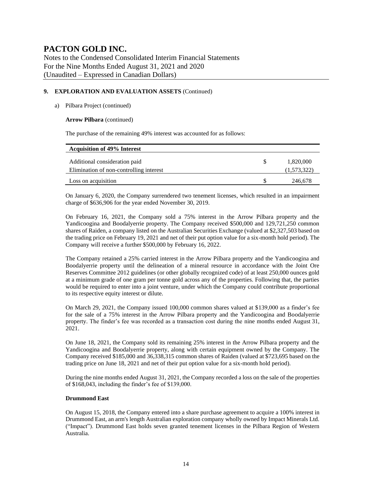Notes to the Condensed Consolidated Interim Financial Statements For the Nine Months Ended August 31, 2021 and 2020 (Unaudited – Expressed in Canadian Dollars)

#### **9. EXPLORATION AND EVALUATION ASSETS** (Continued)

#### a) Pilbara Project (continued)

#### **Arrow Pilbara** (continued)

The purchase of the remaining 49% interest was accounted for as follows:

| <b>Acquisition of 49% Interest</b>      |             |
|-----------------------------------------|-------------|
| Additional consideration paid           | 1,820,000   |
| Elimination of non-controlling interest | (1,573,322) |
| Loss on acquisition                     | 246,678     |

On January 6, 2020, the Company surrendered two tenement licenses, which resulted in an impairment charge of \$636,906 for the year ended November 30, 2019.

On February 16, 2021, the Company sold a 75% interest in the Arrow Pilbara property and the Yandicoogina and Boodalyerrie property. The Company received \$500,000 and 129,721,250 common shares of Raiden, a company listed on the Australian Securities Exchange (valued at \$2,327,503 based on the trading price on February 19, 2021 and net of their put option value for a six-month hold period). The Company will receive a further \$500,000 by February 16, 2022.

The Company retained a 25% carried interest in the Arrow Pilbara property and the Yandicoogina and Boodalyerrie property until the delineation of a mineral resource in accordance with the Joint Ore Reserves Committee 2012 guidelines (or other globally recognized code) of at least 250,000 ounces gold at a minimum grade of one gram per tonne gold across any of the properties. Following that, the parties would be required to enter into a joint venture, under which the Company could contribute proportional to its respective equity interest or dilute.

On March 29, 2021, the Company issued 100,000 common shares valued at \$139,000 as a finder's fee for the sale of a 75% interest in the Arrow Pilbara property and the Yandicoogina and Boodalyerrie property. The finder's fee was recorded as a transaction cost during the nine months ended August 31, 2021.

On June 18, 2021, the Company sold its remaining 25% interest in the Arrow Pilbara property and the Yandicoogina and Boodalyerrie property, along with certain equipment owned by the Company. The Company received \$185,000 and 36,338,315 common shares of Raiden (valued at \$723,695 based on the trading price on June 18, 2021 and net of their put option value for a six-month hold period).

During the nine months ended August 31, 2021, the Company recorded a loss on the sale of the properties of \$168,043, including the finder's fee of \$139,000.

#### **Drummond East**

On August 15, 2018, the Company entered into a share purchase agreement to acquire a 100% interest in Drummond East, an arm's length Australian exploration company wholly owned by Impact Minerals Ltd. ("Impact"). Drummond East holds seven granted tenement licenses in the Pilbara Region of Western Australia.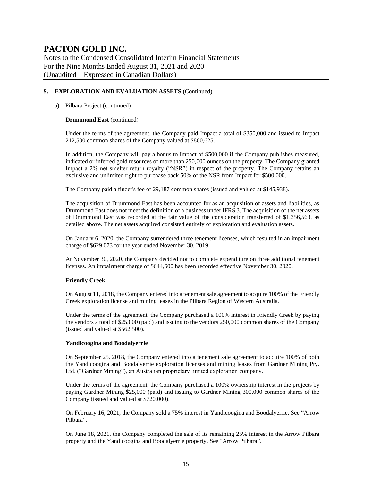Notes to the Condensed Consolidated Interim Financial Statements For the Nine Months Ended August 31, 2021 and 2020 (Unaudited – Expressed in Canadian Dollars)

#### **9. EXPLORATION AND EVALUATION ASSETS** (Continued)

#### a) Pilbara Project (continued)

#### **Drummond East** (continued)

Under the terms of the agreement, the Company paid Impact a total of \$350,000 and issued to Impact 212,500 common shares of the Company valued at \$860,625.

In addition, the Company will pay a bonus to Impact of \$500,000 if the Company publishes measured, indicated or inferred gold resources of more than 250,000 ounces on the property. The Company granted Impact a 2% net smelter return royalty ("NSR") in respect of the property. The Company retains an exclusive and unlimited right to purchase back 50% of the NSR from Impact for \$500,000.

The Company paid a finder's fee of 29,187 common shares (issued and valued at \$145,938).

The acquisition of Drummond East has been accounted for as an acquisition of assets and liabilities, as Drummond East does not meet the definition of a business under IFRS 3. The acquisition of the net assets of Drummond East was recorded at the fair value of the consideration transferred of \$1,356,563, as detailed above. The net assets acquired consisted entirely of exploration and evaluation assets.

On January 6, 2020, the Company surrendered three tenement licenses, which resulted in an impairment charge of \$629,073 for the year ended November 30, 2019.

At November 30, 2020, the Company decided not to complete expenditure on three additional tenement licenses. An impairment charge of \$644,600 has been recorded effective November 30, 2020.

#### **Friendly Creek**

On August 11, 2018, the Company entered into a tenement sale agreement to acquire 100% of the Friendly Creek exploration license and mining leases in the Pilbara Region of Western Australia.

Under the terms of the agreement, the Company purchased a 100% interest in Friendly Creek by paying the vendors a total of \$25,000 (paid) and issuing to the vendors 250,000 common shares of the Company (issued and valued at \$562,500).

#### **Yandicoogina and Boodalyerrie**

On September 25, 2018, the Company entered into a tenement sale agreement to acquire 100% of both the Yandicoogina and Boodalyerrie exploration licenses and mining leases from Gardner Mining Pty. Ltd. ("Gardner Mining"), an Australian proprietary limited exploration company.

Under the terms of the agreement, the Company purchased a 100% ownership interest in the projects by paying Gardner Mining \$25,000 (paid) and issuing to Gardner Mining 300,000 common shares of the Company (issued and valued at \$720,000).

On February 16, 2021, the Company sold a 75% interest in Yandicoogina and Boodalyerrie. See "Arrow Pilbara".

On June 18, 2021, the Company completed the sale of its remaining 25% interest in the Arrow Pilbara property and the Yandicoogina and Boodalyerrie property. See "Arrow Pilbara".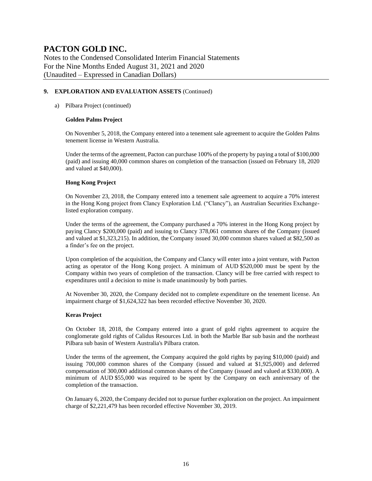Notes to the Condensed Consolidated Interim Financial Statements For the Nine Months Ended August 31, 2021 and 2020 (Unaudited – Expressed in Canadian Dollars)

#### **9. EXPLORATION AND EVALUATION ASSETS** (Continued)

#### a) Pilbara Project (continued)

#### **Golden Palms Project**

On November 5, 2018, the Company entered into a tenement sale agreement to acquire the Golden Palms tenement license in Western Australia.

Under the terms of the agreement, Pacton can purchase 100% of the property by paying a total of \$100,000 (paid) and issuing 40,000 common shares on completion of the transaction (issued on February 18, 2020 and valued at \$40,000).

#### **Hong Kong Project**

On November 23, 2018, the Company entered into a tenement sale agreement to acquire a 70% interest in the Hong Kong project from Clancy Exploration Ltd. ("Clancy"), an Australian Securities Exchangelisted exploration company.

Under the terms of the agreement, the Company purchased a 70% interest in the Hong Kong project by paying Clancy \$200,000 (paid) and issuing to Clancy 378,061 common shares of the Company (issued and valued at \$1,323,215). In addition, the Company issued 30,000 common shares valued at \$82,500 as a finder's fee on the project.

Upon completion of the acquisition, the Company and Clancy will enter into a joint venture, with Pacton acting as operator of the Hong Kong project. A minimum of AUD \$520,000 must be spent by the Company within two years of completion of the transaction. Clancy will be free carried with respect to expenditures until a decision to mine is made unanimously by both parties.

At November 30, 2020, the Company decided not to complete expenditure on the tenement license. An impairment charge of \$1,624,322 has been recorded effective November 30, 2020.

#### **Keras Project**

On October 18, 2018, the Company entered into a grant of gold rights agreement to acquire the conglomerate gold rights of Calidus Resources Ltd. in both the Marble Bar sub basin and the northeast Pilbara sub basin of Western Australia's Pilbara craton.

Under the terms of the agreement, the Company acquired the gold rights by paying \$10,000 (paid) and issuing 700,000 common shares of the Company (issued and valued at \$1,925,000) and deferred compensation of 300,000 additional common shares of the Company (issued and valued at \$330,000). A minimum of AUD \$55,000 was required to be spent by the Company on each anniversary of the completion of the transaction.

On January 6, 2020, the Company decided not to pursue further exploration on the project. An impairment charge of \$2,221,479 has been recorded effective November 30, 2019.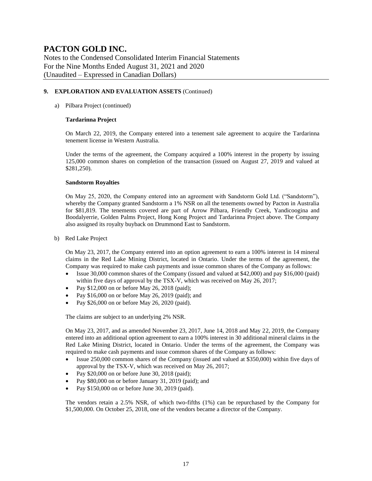Notes to the Condensed Consolidated Interim Financial Statements For the Nine Months Ended August 31, 2021 and 2020 (Unaudited – Expressed in Canadian Dollars)

#### **9. EXPLORATION AND EVALUATION ASSETS** (Continued)

#### a) Pilbara Project (continued)

#### **Tardarinna Project**

On March 22, 2019, the Company entered into a tenement sale agreement to acquire the Tardarinna tenement license in Western Australia.

Under the terms of the agreement, the Company acquired a 100% interest in the property by issuing 125,000 common shares on completion of the transaction (issued on August 27, 2019 and valued at \$281,250).

#### **Sandstorm Royalties**

On May 25, 2020, the Company entered into an agreement with Sandstorm Gold Ltd. ("Sandstorm"), whereby the Company granted Sandstorm a 1% NSR on all the tenements owned by Pacton in Australia for \$81,819. The tenements covered are part of Arrow Pilbara, Friendly Creek, Yandicoogina and Boodalyerrie, Golden Palms Project, Hong Kong Project and Tardarinna Project above. The Company also assigned its royalty buyback on Drummond East to Sandstorm.

b) Red Lake Project

On May 23, 2017, the Company entered into an option agreement to earn a 100% interest in 14 mineral claims in the Red Lake Mining District, located in Ontario. Under the terms of the agreement, the Company was required to make cash payments and issue common shares of the Company as follows:

- Issue 30,000 common shares of the Company (issued and valued at \$42,000) and pay \$16,000 (paid) within five days of approval by the TSX-V, which was received on May 26, 2017;
- Pay  $$12,000$  on or before May 26, 2018 (paid);
- Pay \$16,000 on or before May 26, 2019 (paid); and
- Pay \$26,000 on or before May 26, 2020 (paid).

The claims are subject to an underlying 2% NSR.

On May 23, 2017, and as amended November 23, 2017, June 14, 2018 and May 22, 2019, the Company entered into an additional option agreement to earn a 100% interest in 30 additional mineral claims in the Red Lake Mining District, located in Ontario. Under the terms of the agreement, the Company was required to make cash payments and issue common shares of the Company as follows:

- Issue 250,000 common shares of the Company (issued and valued at \$350,000) within five days of approval by the TSX-V, which was received on May 26, 2017;
- Pay \$20,000 on or before June 30, 2018 (paid);
- Pay \$80,000 on or before January 31, 2019 (paid); and
- Pay \$150,000 on or before June 30, 2019 (paid).

The vendors retain a 2.5% NSR, of which two-fifths (1%) can be repurchased by the Company for \$1,500,000. On October 25, 2018, one of the vendors became a director of the Company.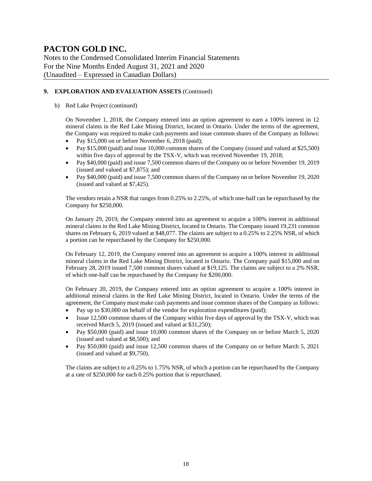Notes to the Condensed Consolidated Interim Financial Statements For the Nine Months Ended August 31, 2021 and 2020 (Unaudited – Expressed in Canadian Dollars)

#### **9. EXPLORATION AND EVALUATION ASSETS** (Continued)

#### b) Red Lake Project (continued)

On November 1, 2018, the Company entered into an option agreement to earn a 100% interest in 12 mineral claims in the Red Lake Mining District, located in Ontario. Under the terms of the agreement, the Company was required to make cash payments and issue common shares of the Company as follows:

- Pay \$15,000 on or before November 6, 2018 (paid);
- Pay \$15,000 (paid) and issue 10,000 common shares of the Company (issued and valued at \$25,500) within five days of approval by the TSX-V, which was received November 19, 2018;
- Pay \$40,000 (paid) and issue 7,500 common shares of the Company on or before November 19, 2019 (issued and valued at \$7,875); and
- Pay \$40,000 (paid) and issue 7,500 common shares of the Company on or before November 19, 2020 (issued and valued at \$7,425).

The vendors retain a NSR that ranges from 0.25% to 2.25%, of which one-half can be repurchased by the Company for \$250,000.

On January 29, 2019, the Company entered into an agreement to acquire a 100% interest in additional mineral claims in the Red Lake Mining District, located in Ontario. The Company issued 19,231 common shares on February 6, 2019 valued at \$48,077. The claims are subject to a 0.25% to 2.25% NSR, of which a portion can be repurchased by the Company for \$250,000.

On February 12, 2019, the Company entered into an agreement to acquire a 100% interest in additional mineral claims in the Red Lake Mining District, located in Ontario. The Company paid \$15,000 and on February 28, 2019 issued 7,500 common shares valued at \$19,125. The claims are subject to a 2% NSR, of which one-half can be repurchased by the Company for \$200,000.

On February 20, 2019, the Company entered into an option agreement to acquire a 100% interest in additional mineral claims in the Red Lake Mining District, located in Ontario. Under the terms of the agreement, the Company must make cash payments and issue common shares of the Company as follows:

- Pay up to \$30,000 on behalf of the vendor for exploration expenditures (paid);
- Issue 12,500 common shares of the Company within five days of approval by the TSX-V, which was received March 5, 2019 (issued and valued at \$31,250);
- Pay \$50,000 (paid) and issue 10,000 common shares of the Company on or before March 5, 2020 (issued and valued at \$8,500); and
- Pay \$50,000 (paid) and issue 12,500 common shares of the Company on or before March 5, 2021 (issued and valued at \$9,750).

The claims are subject to a 0.25% to 1.75% NSR, of which a portion can be repurchased by the Company at a rate of \$250,000 for each 0.25% portion that is repurchased.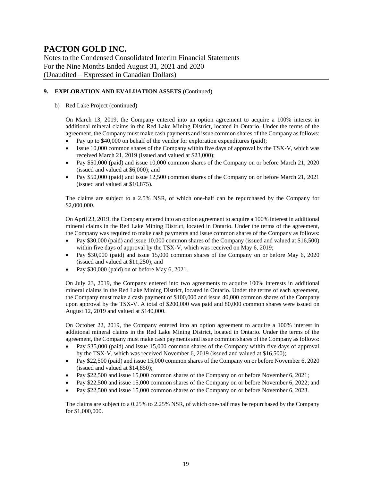Notes to the Condensed Consolidated Interim Financial Statements For the Nine Months Ended August 31, 2021 and 2020 (Unaudited – Expressed in Canadian Dollars)

#### **9. EXPLORATION AND EVALUATION ASSETS** (Continued)

#### b) Red Lake Project (continued)

On March 13, 2019, the Company entered into an option agreement to acquire a 100% interest in additional mineral claims in the Red Lake Mining District, located in Ontario. Under the terms of the agreement, the Company must make cash payments and issue common shares of the Company as follows:

- Pay up to \$40,000 on behalf of the vendor for exploration expenditures (paid);
- Issue 10,000 common shares of the Company within five days of approval by the TSX-V, which was received March 21, 2019 (issued and valued at \$23,000);
- Pay \$50,000 (paid) and issue 10,000 common shares of the Company on or before March 21, 2020 (issued and valued at \$6,000); and
- Pay \$50,000 (paid) and issue 12,500 common shares of the Company on or before March 21, 2021 (issued and valued at \$10,875).

The claims are subject to a 2.5% NSR, of which one-half can be repurchased by the Company for \$2,000,000.

On April 23, 2019, the Company entered into an option agreement to acquire a 100% interest in additional mineral claims in the Red Lake Mining District, located in Ontario. Under the terms of the agreement, the Company was required to make cash payments and issue common shares of the Company as follows:

- Pay \$30,000 (paid) and issue 10,000 common shares of the Company (issued and valued at \$16,500) within five days of approval by the TSX-V, which was received on May 6, 2019;
- Pay \$30,000 (paid) and issue 15,000 common shares of the Company on or before May 6, 2020 (issued and valued at \$11,250); and
- Pay \$30,000 (paid) on or before May 6, 2021.

On July 23, 2019, the Company entered into two agreements to acquire 100% interests in additional mineral claims in the Red Lake Mining District, located in Ontario. Under the terms of each agreement, the Company must make a cash payment of \$100,000 and issue 40,000 common shares of the Company upon approval by the TSX-V. A total of \$200,000 was paid and 80,000 common shares were issued on August 12, 2019 and valued at \$140,000.

On October 22, 2019, the Company entered into an option agreement to acquire a 100% interest in additional mineral claims in the Red Lake Mining District, located in Ontario. Under the terms of the agreement, the Company must make cash payments and issue common shares of the Company as follows:

- Pay \$35,000 (paid) and issue 15,000 common shares of the Company within five days of approval by the TSX-V, which was received November 6, 2019 (issued and valued at \$16,500);
- Pay \$22,500 (paid) and issue 15,000 common shares of the Company on or before November 6, 2020 (issued and valued at \$14,850);
- Pay \$22,500 and issue 15,000 common shares of the Company on or before November 6, 2021;
- Pay \$22,500 and issue 15,000 common shares of the Company on or before November 6, 2022; and
- Pay \$22,500 and issue 15,000 common shares of the Company on or before November 6, 2023.

The claims are subject to a 0.25% to 2.25% NSR, of which one-half may be repurchased by the Company for \$1,000,000.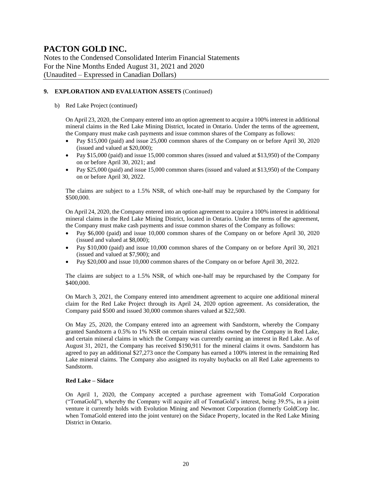Notes to the Condensed Consolidated Interim Financial Statements For the Nine Months Ended August 31, 2021 and 2020 (Unaudited – Expressed in Canadian Dollars)

#### **9. EXPLORATION AND EVALUATION ASSETS** (Continued)

#### b) Red Lake Project (continued)

On April 23, 2020, the Company entered into an option agreement to acquire a 100% interest in additional mineral claims in the Red Lake Mining District, located in Ontario. Under the terms of the agreement, the Company must make cash payments and issue common shares of the Company as follows:

- Pay \$15,000 (paid) and issue 25,000 common shares of the Company on or before April 30, 2020 (issued and valued at \$20,000);
- Pay \$15,000 (paid) and issue 15,000 common shares (issued and valued at \$13,950) of the Company on or before April 30, 2021; and
- Pay \$25,000 (paid) and issue 15,000 common shares (issued and valued at \$13,950) of the Company on or before April 30, 2022.

The claims are subject to a 1.5% NSR, of which one-half may be repurchased by the Company for \$500,000.

On April 24, 2020, the Company entered into an option agreement to acquire a 100% interest in additional mineral claims in the Red Lake Mining District, located in Ontario. Under the terms of the agreement, the Company must make cash payments and issue common shares of the Company as follows:

- Pay \$6,000 (paid) and issue 10,000 common shares of the Company on or before April 30, 2020 (issued and valued at \$8,000);
- Pay \$10,000 (paid) and issue 10,000 common shares of the Company on or before April 30, 2021 (issued and valued at \$7,900); and
- Pay \$20,000 and issue 10,000 common shares of the Company on or before April 30, 2022.

The claims are subject to a 1.5% NSR, of which one-half may be repurchased by the Company for \$400,000.

On March 3, 2021, the Company entered into amendment agreement to acquire one additional mineral claim for the Red Lake Project through its April 24, 2020 option agreement. As consideration, the Company paid \$500 and issued 30,000 common shares valued at \$22,500.

On May 25, 2020, the Company entered into an agreement with Sandstorm, whereby the Company granted Sandstorm a 0.5% to 1% NSR on certain mineral claims owned by the Company in Red Lake, and certain mineral claims in which the Company was currently earning an interest in Red Lake. As of August 31, 2021, the Company has received \$190,911 for the mineral claims it owns. Sandstorm has agreed to pay an additional \$27,273 once the Company has earned a 100% interest in the remaining Red Lake mineral claims. The Company also assigned its royalty buybacks on all Red Lake agreements to Sandstorm.

#### **Red Lake – Sidace**

On April 1, 2020, the Company accepted a purchase agreement with TomaGold Corporation ("TomaGold"), whereby the Company will acquire all of TomaGold's interest, being 39.5%, in a joint venture it currently holds with Evolution Mining and Newmont Corporation (formerly GoldCorp Inc. when TomaGold entered into the joint venture) on the Sidace Property, located in the Red Lake Mining District in Ontario.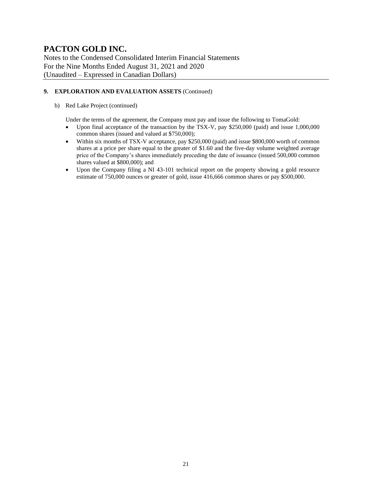Notes to the Condensed Consolidated Interim Financial Statements For the Nine Months Ended August 31, 2021 and 2020 (Unaudited – Expressed in Canadian Dollars)

#### **9. EXPLORATION AND EVALUATION ASSETS** (Continued)

#### b) Red Lake Project (continued)

Under the terms of the agreement, the Company must pay and issue the following to TomaGold:

- Upon final acceptance of the transaction by the TSX-V, pay \$250,000 (paid) and issue 1,000,000 common shares (issued and valued at \$750,000);
- Within six months of TSX-V acceptance, pay \$250,000 (paid) and issue \$800,000 worth of common shares at a price per share equal to the greater of \$1.60 and the five-day volume weighted average price of the Company's shares immediately preceding the date of issuance (issued 500,000 common shares valued at \$800,000); and
- Upon the Company filing a NI 43-101 technical report on the property showing a gold resource estimate of 750,000 ounces or greater of gold, issue 416,666 common shares or pay \$500,000.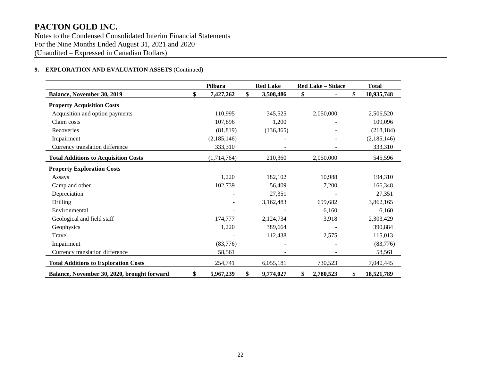Notes to the Condensed Consolidated Interim Financial Statements For the Nine Months Ended August 31, 2021 and 2020 (Unaudited – Expressed in Canadian Dollars)

#### **9. EXPLORATION AND EVALUATION ASSETS** (Continued)

|                                             | Pilbara         | <b>Red Lake</b> | <b>Red Lake - Sidace</b> |           | <b>Total</b>     |
|---------------------------------------------|-----------------|-----------------|--------------------------|-----------|------------------|
| Balance, November 30, 2019                  | \$<br>7,427,262 | \$<br>3,508,486 | \$                       |           | \$<br>10,935,748 |
| <b>Property Acquisition Costs</b>           |                 |                 |                          |           |                  |
| Acquisition and option payments             | 110,995         | 345,525         |                          | 2,050,000 | 2,506,520        |
| Claim costs                                 | 107,896         | 1,200           |                          |           | 109,096          |
| Recoveries                                  | (81, 819)       | (136, 365)      |                          |           | (218, 184)       |
| Impairment                                  | (2,185,146)     |                 |                          |           | (2,185,146)      |
| Currency translation difference             | 333,310         |                 |                          |           | 333,310          |
| <b>Total Additions to Acquisition Costs</b> | (1,714,764)     | 210,360         |                          | 2,050,000 | 545,596          |
| <b>Property Exploration Costs</b>           |                 |                 |                          |           |                  |
| Assays                                      | 1,220           | 182,102         |                          | 10,988    | 194,310          |
| Camp and other                              | 102,739         | 56,409          |                          | 7,200     | 166,348          |
| Depreciation                                |                 | 27,351          |                          |           | 27,351           |
| Drilling                                    |                 | 3,162,483       |                          | 699,682   | 3,862,165        |
| Environmental                               |                 |                 |                          | 6,160     | 6,160            |
| Geological and field staff                  | 174,777         | 2,124,734       |                          | 3,918     | 2,303,429        |
| Geophysics                                  | 1,220           | 389,664         |                          |           | 390,884          |
| Travel                                      |                 | 112,438         |                          | 2,575     | 115,013          |
| Impairment                                  | (83,776)        |                 |                          |           | (83,776)         |
| Currency translation difference             | 58,561          |                 |                          |           | 58,561           |
| <b>Total Additions to Exploration Costs</b> | 254,741         | 6,055,181       |                          | 730,523   | 7,040,445        |
| Balance, November 30, 2020, brought forward | \$<br>5,967,239 | \$<br>9,774,027 | \$                       | 2,780,523 | \$<br>18,521,789 |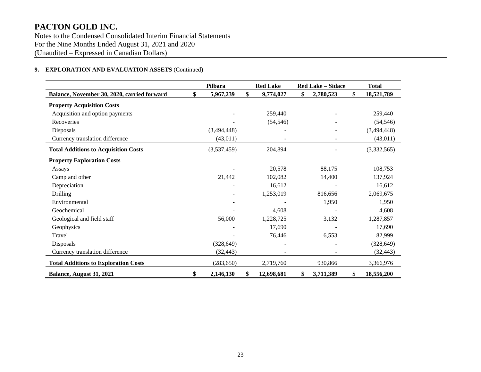Notes to the Condensed Consolidated Interim Financial Statements For the Nine Months Ended August 31, 2021 and 2020 (Unaudited – Expressed in Canadian Dollars)

#### **9. EXPLORATION AND EVALUATION ASSETS** (Continued)

|                                             | Pilbara<br><b>Red Lake</b><br><b>Red Lake - Sidace</b> |             |    |            |    | <b>Total</b> |                  |
|---------------------------------------------|--------------------------------------------------------|-------------|----|------------|----|--------------|------------------|
| Balance, November 30, 2020, carried forward | \$                                                     | 5,967,239   | \$ | 9,774,027  | \$ | 2,780,523    | \$<br>18,521,789 |
| <b>Property Acquisition Costs</b>           |                                                        |             |    |            |    |              |                  |
| Acquisition and option payments             |                                                        |             |    | 259,440    |    |              | 259,440          |
| Recoveries                                  |                                                        |             |    | (54, 546)  |    |              | (54, 546)        |
| Disposals                                   |                                                        | (3,494,448) |    |            |    |              | (3,494,448)      |
| Currency translation difference             |                                                        | (43,011)    |    |            |    |              | (43, 011)        |
| <b>Total Additions to Acquisition Costs</b> |                                                        | (3,537,459) |    | 204,894    |    |              | (3,332,565)      |
| <b>Property Exploration Costs</b>           |                                                        |             |    |            |    |              |                  |
| Assays                                      |                                                        |             |    | 20,578     |    | 88,175       | 108,753          |
| Camp and other                              |                                                        | 21,442      |    | 102,082    |    | 14,400       | 137,924          |
| Depreciation                                |                                                        |             |    | 16,612     |    |              | 16,612           |
| Drilling                                    |                                                        |             |    | 1,253,019  |    | 816,656      | 2,069,675        |
| Environmental                               |                                                        |             |    |            |    | 1,950        | 1,950            |
| Geochemical                                 |                                                        |             |    | 4,608      |    |              | 4,608            |
| Geological and field staff                  |                                                        | 56,000      |    | 1,228,725  |    | 3,132        | 1,287,857        |
| Geophysics                                  |                                                        |             |    | 17,690     |    |              | 17,690           |
| Travel                                      |                                                        |             |    | 76,446     |    | 6,553        | 82,999           |
| Disposals                                   |                                                        | (328, 649)  |    |            |    |              | (328, 649)       |
| Currency translation difference             |                                                        | (32, 443)   |    |            |    |              | (32, 443)        |
| <b>Total Additions to Exploration Costs</b> |                                                        | (283, 650)  |    | 2,719,760  |    | 930,866      | 3,366,976        |
| Balance, August 31, 2021                    | \$                                                     | 2,146,130   | \$ | 12,698,681 | \$ | 3,711,389    | \$<br>18,556,200 |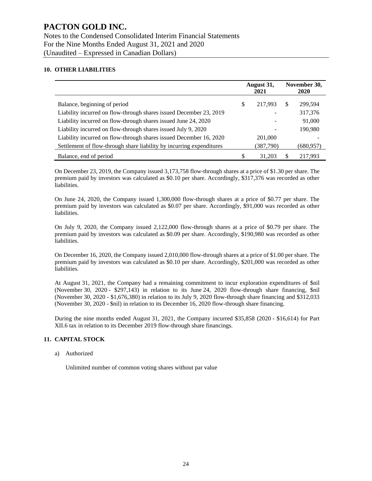#### **10. OTHER LIABILITIES**

|                                                                      |    | August 31,<br>2021 |    | November 30,<br><b>2020</b> |
|----------------------------------------------------------------------|----|--------------------|----|-----------------------------|
| Balance, beginning of period                                         | S  | 217.993            | S. | 299,594                     |
| Liability incurred on flow-through shares issued December 23, 2019   |    |                    |    | 317,376                     |
| Liability incurred on flow-through shares issued June 24, 2020       |    |                    |    | 91,000                      |
| Liability incurred on flow-through shares issued July 9, 2020        |    |                    |    | 190,980                     |
| Liability incurred on flow-through shares issued December 16, 2020   |    | 201,000            |    |                             |
| Settlement of flow-through share liability by incurring expenditures |    | (387,790)          |    | (680,957)                   |
| Balance, end of period                                               | \$ | 31,203             | \$ | 217.993                     |

On December 23, 2019, the Company issued 3,173,758 flow-through shares at a price of \$1.30 per share. The premium paid by investors was calculated as \$0.10 per share. Accordingly, \$317,376 was recorded as other liabilities.

On June 24, 2020, the Company issued 1,300,000 flow-through shares at a price of \$0.77 per share. The premium paid by investors was calculated as \$0.07 per share. Accordingly, \$91,000 was recorded as other liabilities.

On July 9, 2020, the Company issued 2,122,000 flow-through shares at a price of \$0.79 per share. The premium paid by investors was calculated as \$0.09 per share. Accordingly, \$190,980 was recorded as other liabilities.

On December 16, 2020, the Company issued 2,010,000 flow-through shares at a price of \$1.00 per share. The premium paid by investors was calculated as \$0.10 per share. Accordingly, \$201,000 was recorded as other liabilities.

At August 31, 2021, the Company had a remaining commitment to incur exploration expenditures of \$nil (November 30, 2020 - \$297,143) in relation to its June 24, 2020 flow-through share financing, \$nil (November 30, 2020 - \$1,676,380) in relation to its July 9, 2020 flow-through share financing and \$312,033 (November 30, 2020 - \$nil) in relation to its December 16, 2020 flow-through share financing.

During the nine months ended August 31, 2021, the Company incurred \$35,858 (2020 - \$16,614) for Part XII.6 tax in relation to its December 2019 flow-through share financings.

#### **11. CAPITAL STOCK**

a) Authorized

Unlimited number of common voting shares without par value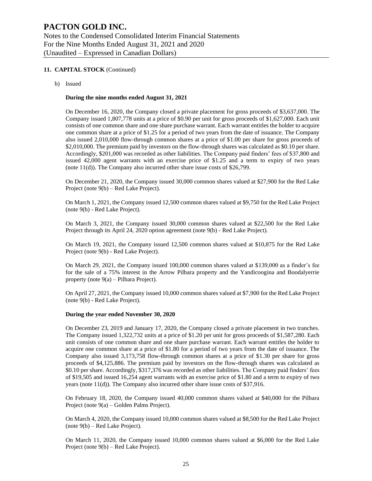#### **11. CAPITAL STOCK** (Continued)

b) Issued

#### **During the nine months ended August 31, 2021**

On December 16, 2020, the Company closed a private placement for gross proceeds of \$3,637,000. The Company issued 1,807,778 units at a price of \$0.90 per unit for gross proceeds of \$1,627,000. Each unit consists of one common share and one share purchase warrant. Each warrant entitles the holder to acquire one common share at a price of \$1.25 for a period of two years from the date of issuance. The Company also issued 2,010,000 flow-through common shares at a price of \$1.00 per share for gross proceeds of \$2,010,000. The premium paid by investors on the flow-through shares was calculated as \$0.10 per share. Accordingly, \$201,000 was recorded as other liabilities. The Company paid finders' fees of \$37,800 and issued 42,000 agent warrants with an exercise price of \$1.25 and a term to expiry of two years (note 11(d)). The Company also incurred other share issue costs of \$26,799.

On December 21, 2020, the Company issued 30,000 common shares valued at \$27,900 for the Red Lake Project (note 9(b) – Red Lake Project).

On March 1, 2021, the Company issued 12,500 common shares valued at \$9,750 for the Red Lake Project (note 9(b) - Red Lake Project).

On March 3, 2021, the Company issued 30,000 common shares valued at \$22,500 for the Red Lake Project through its April 24, 2020 option agreement (note 9(b) - Red Lake Project).

On March 19, 2021, the Company issued 12,500 common shares valued at \$10,875 for the Red Lake Project (note 9(b) - Red Lake Project).

On March 29, 2021, the Company issued 100,000 common shares valued at \$139,000 as a finder's fee for the sale of a 75% interest in the Arrow Pilbara property and the Yandicoogina and Boodalyerrie property (note 9(a) – Pilbara Project).

On April 27, 2021, the Company issued 10,000 common shares valued at \$7,900 for the Red Lake Project (note 9(b) - Red Lake Project).

#### **During the year ended November 30, 2020**

On December 23, 2019 and January 17, 2020, the Company closed a private placement in two tranches. The Company issued 1,322,732 units at a price of \$1.20 per unit for gross proceeds of \$1,587,280. Each unit consists of one common share and one share purchase warrant. Each warrant entitles the holder to acquire one common share at a price of \$1.80 for a period of two years from the date of issuance. The Company also issued 3,173,758 flow-through common shares at a price of \$1.30 per share for gross proceeds of \$4,125,886. The premium paid by investors on the flow-through shares was calculated as \$0.10 per share. Accordingly, \$317,376 was recorded as other liabilities. The Company paid finders' fees of \$19,505 and issued 16,254 agent warrants with an exercise price of \$1.80 and a term to expiry of two years (note 11(d)). The Company also incurred other share issue costs of \$37,916.

On February 18, 2020, the Company issued 40,000 common shares valued at \$40,000 for the Pilbara Project (note 9(a) – Golden Palms Project).

On March 4, 2020, the Company issued 10,000 common shares valued at \$8,500 for the Red Lake Project (note 9(b) – Red Lake Project).

On March 11, 2020, the Company issued 10,000 common shares valued at \$6,000 for the Red Lake Project (note 9(b) – Red Lake Project).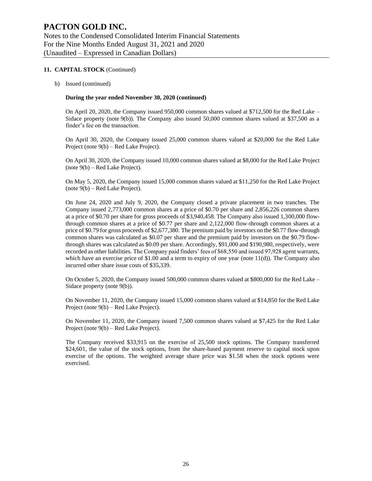#### **11. CAPITAL STOCK** (Continued)

b) Issued (continued)

#### **During the year ended November 30, 2020 (continued)**

On April 20, 2020, the Company issued 950,000 common shares valued at \$712,500 for the Red Lake – Sidace property (note 9(b)). The Company also issued 50,000 common shares valued at \$37,500 as a finder's fee on the transaction.

On April 30, 2020, the Company issued 25,000 common shares valued at \$20,000 for the Red Lake Project (note 9(b) – Red Lake Project).

On April 30, 2020, the Company issued 10,000 common shares valued at \$8,000 for the Red Lake Project (note 9(b) – Red Lake Project).

On May 5, 2020, the Company issued 15,000 common shares valued at \$11,250 for the Red Lake Project (note 9(b) – Red Lake Project).

On June 24, 2020 and July 9, 2020, the Company closed a private placement in two tranches. The Company issued 2,773,000 common shares at a price of \$0.70 per share and 2,856,226 common shares at a price of \$0.70 per share for gross proceeds of \$3,940,458. The Company also issued 1,300,000 flowthrough common shares at a price of \$0.77 per share and 2,122,000 flow-through common shares at a price of \$0.79 for gross proceeds of \$2,677,380. The premium paid by investors on the \$0.77 flow-through common shares was calculated as \$0.07 per share and the premium paid by investors on the \$0.79 flowthrough shares was calculated as \$0.09 per share. Accordingly, \$91,000 and \$190,980, respectively, were recorded as other liabilities. The Company paid finders' fees of \$68,550 and issued 97,928 agent warrants, which have an exercise price of  $$1.00$  and a term to expiry of one year (note  $11(d)$ ). The Company also incurred other share issue costs of \$35,339.

On October 5, 2020, the Company issued 500,000 common shares valued at \$800,000 for the Red Lake – Sidace property (note 9(b)).

On November 11, 2020, the Company issued 15,000 common shares valued at \$14,850 for the Red Lake Project (note 9(b) – Red Lake Project).

On November 11, 2020, the Company issued 7,500 common shares valued at \$7,425 for the Red Lake Project (note 9(b) – Red Lake Project).

The Company received \$33,915 on the exercise of 25,500 stock options. The Company transferred \$24,601, the value of the stock options, from the share-based payment reserve to capital stock upon exercise of the options. The weighted average share price was \$1.58 when the stock options were exercised.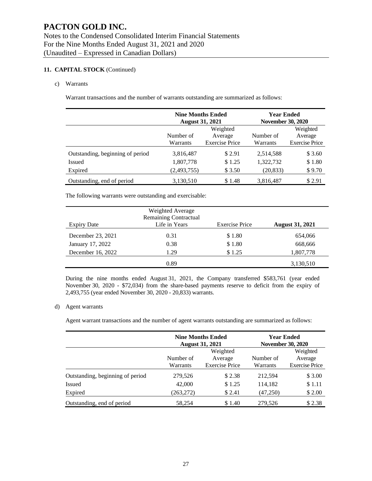#### **11. CAPITAL STOCK** (Continued)

#### c) Warrants

Warrant transactions and the number of warrants outstanding are summarized as follows:

|                                  | <b>Nine Months Ended</b><br><b>August 31, 2021</b> |                       | <b>Year Ended</b><br><b>November 30, 2020</b> |                       |
|----------------------------------|----------------------------------------------------|-----------------------|-----------------------------------------------|-----------------------|
|                                  | Number of                                          | Weighted<br>Average   | Number of                                     | Weighted<br>Average   |
|                                  | Warrants                                           | <b>Exercise Price</b> | Warrants                                      | <b>Exercise Price</b> |
| Outstanding, beginning of period | 3,816,487                                          | \$2.91                | 2,514,588                                     | \$3.60                |
| <b>Issued</b>                    | 1,807,778                                          | \$1.25                | 1,322,732                                     | \$1.80                |
| Expired                          | (2,493,755)                                        | \$3.50                | (20, 833)                                     | \$9.70                |
| Outstanding, end of period       | 3,130,510                                          | \$1.48                | 3,816,487                                     | \$2.91                |

The following warrants were outstanding and exercisable:

| Expiry Date       | Weighted Average<br><b>Remaining Contractual</b><br>Life in Years | <b>Exercise Price</b> | <b>August 31, 2021</b> |
|-------------------|-------------------------------------------------------------------|-----------------------|------------------------|
| December 23, 2021 | 0.31                                                              | \$1.80                | 654,066                |
| January 17, 2022  | 0.38                                                              | \$1.80                | 668,666                |
| December 16, 2022 | 1.29                                                              | \$1.25                | 1,807,778              |
|                   | 0.89                                                              |                       | 3,130,510              |

During the nine months ended August 31, 2021, the Company transferred \$583,761 (year ended November 30, 2020 - \$72,034) from the share-based payments reserve to deficit from the expiry of 2,493,755 (year ended November 30, 2020 - 20,833) warrants.

#### d) Agent warrants

Agent warrant transactions and the number of agent warrants outstanding are summarized as follows:

|                                  |                       | <b>Nine Months Ended</b><br><b>August 31, 2021</b> |                       | <b>Year Ended</b><br><b>November 30, 2020</b> |  |
|----------------------------------|-----------------------|----------------------------------------------------|-----------------------|-----------------------------------------------|--|
|                                  | Number of<br>Warrants | Weighted<br>Average<br><b>Exercise Price</b>       | Number of<br>Warrants | Weighted<br>Average<br><b>Exercise Price</b>  |  |
| Outstanding, beginning of period | 279,526               | \$2.38                                             | 212,594               | \$3.00                                        |  |
| Issued                           | 42,000                | \$1.25                                             | 114,182               | \$1.11                                        |  |
| Expired                          | (263, 272)            | \$2.41                                             | (47,250)              | \$2.00                                        |  |
| Outstanding, end of period       | 58,254                | \$1.40                                             | 279,526               | \$2.38                                        |  |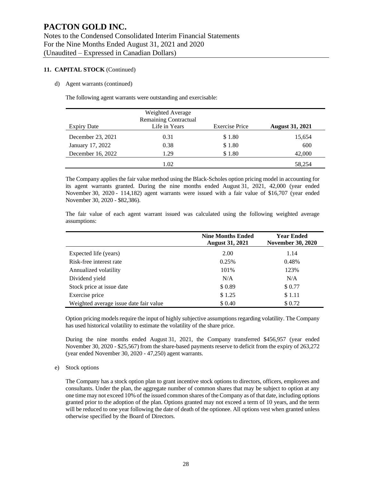#### **11. CAPITAL STOCK** (Continued)

#### d) Agent warrants (continued)

The following agent warrants were outstanding and exercisable:

| <b>Expiry Date</b> | Weighted Average<br><b>Remaining Contractual</b><br>Life in Years | <b>Exercise Price</b> | <b>August 31, 2021</b> |
|--------------------|-------------------------------------------------------------------|-----------------------|------------------------|
| December 23, 2021  | 0.31                                                              | \$1.80                | 15,654                 |
| January 17, 2022   | 0.38                                                              | \$1.80                | 600                    |
| December 16, 2022  | 1.29                                                              | \$1.80                | 42,000                 |
|                    | 1.02                                                              |                       | 58.254                 |

The Company applies the fair value method using the Black-Scholes option pricing model in accounting for its agent warrants granted. During the nine months ended August 31, 2021, 42,000 (year ended November 30, 2020 - 114,182) agent warrants were issued with a fair value of \$16,707 (year ended November 30, 2020 - \$82,386).

The fair value of each agent warrant issued was calculated using the following weighted average assumptions:

|                                        | <b>Nine Months Ended</b><br><b>August 31, 2021</b> | <b>Year Ended</b><br><b>November 30, 2020</b> |
|----------------------------------------|----------------------------------------------------|-----------------------------------------------|
| Expected life (years)                  | 2.00                                               | 1.14                                          |
| Risk-free interest rate                | 0.25%                                              | 0.48%                                         |
| Annualized volatility                  | 101%                                               | 123%                                          |
| Dividend yield                         | N/A                                                | N/A                                           |
| Stock price at issue date              | \$0.89                                             | \$0.77                                        |
| Exercise price                         | \$1.25                                             | \$1.11                                        |
| Weighted average issue date fair value | \$ 0.40                                            | \$0.72                                        |

Option pricing models require the input of highly subjective assumptions regarding volatility. The Company has used historical volatility to estimate the volatility of the share price.

During the nine months ended August 31, 2021, the Company transferred \$456,957 (year ended November 30, 2020 - \$25,567) from the share-based payments reserve to deficit from the expiry of 263,272 (year ended November 30, 2020 - 47,250) agent warrants.

#### e) Stock options

The Company has a stock option plan to grant incentive stock options to directors, officers, employees and consultants. Under the plan, the aggregate number of common shares that may be subject to option at any one time may not exceed 10% of the issued common shares of the Company as of that date, including options granted prior to the adoption of the plan. Options granted may not exceed a term of 10 years, and the term will be reduced to one year following the date of death of the optionee. All options vest when granted unless otherwise specified by the Board of Directors.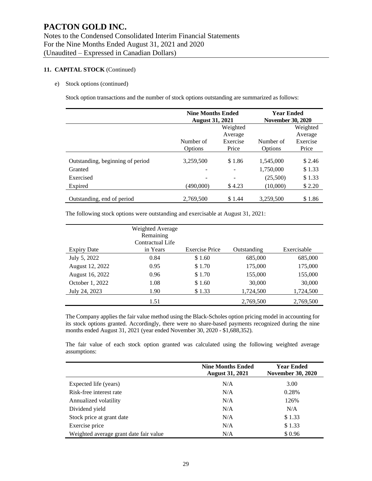#### **11. CAPITAL STOCK** (Continued)

#### e) Stock options (continued)

Stock option transactions and the number of stock options outstanding are summarized as follows:

|                                  | <b>Nine Months Ended</b> |           | <b>Year Ended</b>        |          |  |
|----------------------------------|--------------------------|-----------|--------------------------|----------|--|
|                                  | <b>August 31, 2021</b>   |           | <b>November 30, 2020</b> |          |  |
|                                  |                          | Weighted  |                          | Weighted |  |
|                                  |                          |           | Average                  |          |  |
|                                  | Number of                | Number of | Exercise                 |          |  |
|                                  | Options                  | Options   | Price                    |          |  |
| Outstanding, beginning of period | 3,259,500                | \$1.86    | 1,545,000                | \$2.46   |  |
|                                  |                          |           |                          |          |  |
| Granted                          |                          |           | 1,750,000                | \$1.33   |  |
| Exercised                        |                          |           | (25,500)                 | \$1.33   |  |
| Expired                          | (490.000)                | \$4.23    | (10,000)                 | \$2.20   |  |
| Outstanding, end of period       | 2,769,500                | \$1.44    | 3,259,500                | \$1.86   |  |

The following stock options were outstanding and exercisable at August 31, 2021:

| <b>Expiry Date</b> | Weighted Average<br>Remaining<br>Contractual Life<br>in Years | <b>Exercise Price</b> | Outstanding | Exercisable |
|--------------------|---------------------------------------------------------------|-----------------------|-------------|-------------|
| July 5, 2022       | 0.84                                                          | \$1.60                | 685,000     | 685,000     |
| August 12, 2022    | 0.95                                                          | \$1.70                | 175,000     | 175,000     |
| August 16, 2022    | 0.96                                                          | \$1.70                | 155,000     | 155,000     |
| October 1, 2022    | 1.08                                                          | \$1.60                | 30,000      | 30,000      |
| July 24, 2023      | 1.90                                                          | \$1.33                | 1,724,500   | 1,724,500   |
|                    | 1.51                                                          |                       | 2,769,500   | 2,769,500   |

The Company applies the fair value method using the Black-Scholes option pricing model in accounting for its stock options granted. Accordingly, there were no share-based payments recognized during the nine months ended August 31, 2021 (year ended November 30, 2020 - \$1,688,352).

The fair value of each stock option granted was calculated using the following weighted average assumptions:

|                                        | <b>Nine Months Ended</b><br><b>August 31, 2021</b> | <b>Year Ended</b><br><b>November 30, 2020</b> |  |  |
|----------------------------------------|----------------------------------------------------|-----------------------------------------------|--|--|
| Expected life (years)                  | N/A                                                | 3.00                                          |  |  |
| Risk-free interest rate                | N/A                                                | 0.28%                                         |  |  |
| Annualized volatility                  | N/A                                                | 126%                                          |  |  |
| Dividend yield                         | N/A                                                | N/A                                           |  |  |
| Stock price at grant date              | N/A                                                | \$1.33                                        |  |  |
| Exercise price                         | N/A                                                | \$1.33                                        |  |  |
| Weighted average grant date fair value | N/A                                                | \$0.96                                        |  |  |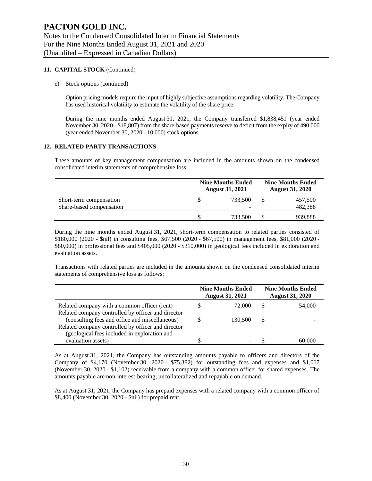#### **11. CAPITAL STOCK** (Continued)

e) Stock options (continued)

Option pricing models require the input of highly subjective assumptions regarding volatility. The Company has used historical volatility to estimate the volatility of the share price.

During the nine months ended August 31, 2021, the Company transferred \$1,838,451 (year ended November 30, 2020 - \$18,807) from the share-based payments reserve to deficit from the expiry of 490,000 (year ended November 30, 2020 - 10,000) stock options.

#### **12. RELATED PARTY TRANSACTIONS**

These amounts of key management compensation are included in the amounts shown on the condensed consolidated interim statements of comprehensive loss:

|                          | <b>Nine Months Ended</b><br><b>August 31, 2021</b> |         |  | <b>Nine Months Ended</b><br><b>August 31, 2020</b> |
|--------------------------|----------------------------------------------------|---------|--|----------------------------------------------------|
| Short-term compensation  |                                                    | 733.500 |  | 457,500                                            |
| Share-based compensation |                                                    |         |  | 482,388                                            |
|                          |                                                    | 733.500 |  | 939,888                                            |

During the nine months ended August 31, 2021, short-term compensation to related parties consisted of \$180,000 (2020 - \$nil) in consulting fees, \$67,500 (2020 - \$67,500) in management fees, \$81,000 (2020 - \$80,000) in professional fees and \$405,000 (2020 - \$310,000) in geological fees included in exploration and evaluation assets.

Transactions with related parties are included in the amounts shown on the condensed consolidated interim statements of comprehensive loss as follows:

|                                                    |   | <b>Nine Months Ended</b><br><b>August 31, 2021</b> |    | <b>Nine Months Ended</b><br><b>August 31, 2020</b> |
|----------------------------------------------------|---|----------------------------------------------------|----|----------------------------------------------------|
| Related company with a common officer (rent)       | S | 72,000                                             | S  | 54,000                                             |
| Related company controlled by officer and director |   |                                                    |    |                                                    |
| (consulting fees and office and miscellaneous)     |   | 130,500                                            | \$ |                                                    |
| Related company controlled by officer and director |   |                                                    |    |                                                    |
| (geological fees included in exploration and       |   |                                                    |    |                                                    |
| evaluation assets)                                 |   |                                                    |    | 60,000                                             |

As at August 31, 2021, the Company has outstanding amounts payable to officers and directors of the Company of \$4,170 (November 30, 2020 - \$75,382) for outstanding fees and expenses and \$1,067 (November 30, 2020 - \$1,102) receivable from a company with a common officer for shared expenses. The amounts payable are non-interest-bearing, uncollateralized and repayable on demand.

As at August 31, 2021, the Company has prepaid expenses with a related company with a common officer of \$8,400 (November 30, 2020 - \$nil) for prepaid rent.